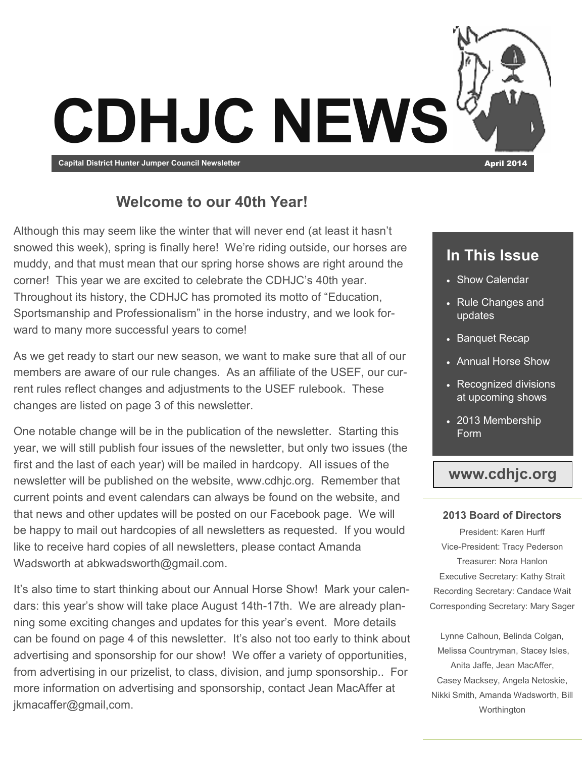

### **Welcome to our 40th Year!**

Although this may seem like the winter that will never end (at least it hasn't snowed this week), spring is finally here! We're riding outside, our horses are muddy, and that must mean that our spring horse shows are right around the corner! This year we are excited to celebrate the CDHJC's 40th year. Throughout its history, the CDHJC has promoted its motto of "Education, Sportsmanship and Professionalism" in the horse industry, and we look forward to many more successful years to come!

As we get ready to start our new season, we want to make sure that all of our members are aware of our rule changes. As an affiliate of the USEF, our current rules reflect changes and adjustments to the USEF rulebook. These changes are listed on page 3 of this newsletter.

One notable change will be in the publication of the newsletter. Starting this year, we will still publish four issues of the newsletter, but only two issues (the first and the last of each year) will be mailed in hardcopy. All issues of the newsletter will be published on the website, www.cdhjc.org. Remember that current points and event calendars can always be found on the website, and that news and other updates will be posted on our Facebook page. We will be happy to mail out hardcopies of all newsletters as requested. If you would like to receive hard copies of all newsletters, please contact Amanda Wadsworth at abkwadsworth@gmail.com.

It's also time to start thinking about our Annual Horse Show! Mark your calendars: this year's show will take place August 14th-17th. We are already planning some exciting changes and updates for this year's event. More details can be found on page 4 of this newsletter. It's also not too early to think about advertising and sponsorship for our show! We offer a variety of opportunities, from advertising in our prizelist, to class, division, and jump sponsorship.. For more information on advertising and sponsorship, contact Jean MacAffer at jkmacaffer@gmail,com.

### **In This Issue**

- Show Calendar
- Rule Changes and updates
- Banquet Recap
- Annual Horse Show
- Recognized divisions at upcoming shows
- 2013 Membership Form

### **www.cdhjc.org**

#### **2013 Board of Directors**

President: Karen Hurff Vice-President: Tracy Pederson Treasurer: Nora Hanlon Executive Secretary: Kathy Strait Recording Secretary: Candace Wait Corresponding Secretary: Mary Sager

Lynne Calhoun, Belinda Colgan, Melissa Countryman, Stacey Isles, Anita Jaffe, Jean MacAffer, Casey Macksey, Angela Netoskie, Nikki Smith, Amanda Wadsworth, Bill Worthington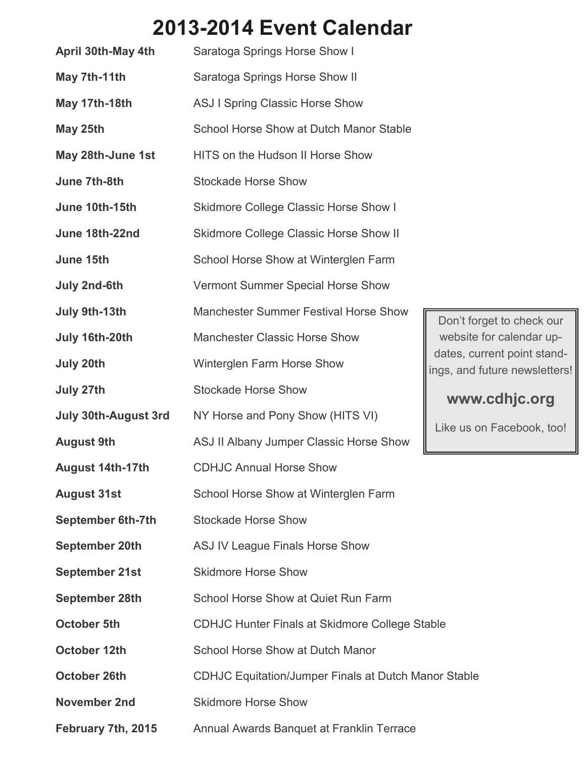# **2013-2014 Event Calendar**

| April 30th-May 4th          | Saratoga Springs Horse Show I                               |                                   |  |
|-----------------------------|-------------------------------------------------------------|-----------------------------------|--|
| May 7th-11th                | Saratoga Springs Horse Show II                              |                                   |  |
| May 17th-18th               | <b>ASJ I Spring Classic Horse Show</b>                      |                                   |  |
| May 25th                    | School Horse Show at Dutch Manor Stable                     |                                   |  |
| May 28th-June 1st           | HITS on the Hudson II Horse Show                            |                                   |  |
| June 7th-8th                | <b>Stockade Horse Show</b>                                  |                                   |  |
| June 10th-15th              | <b>Skidmore College Classic Horse Show I</b>                |                                   |  |
| June 18th-22nd              | <b>Skidmore College Classic Horse Show II</b>               |                                   |  |
| June 15th                   | School Horse Show at Winterglen Farm                        |                                   |  |
| July 2nd-6th                | Vermont Summer Special Horse Show                           |                                   |  |
| July 9th-13th               | <b>Manchester Summer Festival Horse Show</b>                | Don't for                         |  |
| July 16th-20th              | <b>Manchester Classic Horse Show</b>                        | website<br>dates, cu<br>ings, and |  |
| July 20th                   | Winterglen Farm Horse Show                                  |                                   |  |
| July 27th                   | <b>Stockade Horse Show</b>                                  | <b>WWW</b>                        |  |
| <b>July 30th-August 3rd</b> | NY Horse and Pony Show (HITS VI)                            | Like us c                         |  |
| <b>August 9th</b>           | ASJ II Albany Jumper Classic Horse Show                     |                                   |  |
| <b>August 14th-17th</b>     | <b>CDHJC Annual Horse Show</b>                              |                                   |  |
| <b>August 31st</b>          | School Horse Show at Winterglen Farm                        |                                   |  |
| <b>September 6th-7th</b>    | <b>Stockade Horse Show</b>                                  |                                   |  |
| <b>September 20th</b>       | <b>ASJ IV League Finals Horse Show</b>                      |                                   |  |
| <b>September 21st</b>       | <b>Skidmore Horse Show</b>                                  |                                   |  |
| <b>September 28th</b>       | School Horse Show at Quiet Run Farm                         |                                   |  |
| <b>October 5th</b>          | <b>CDHJC Hunter Finals at Skidmore College Stable</b>       |                                   |  |
| <b>October 12th</b>         | <b>School Horse Show at Dutch Manor</b>                     |                                   |  |
| <b>October 26th</b>         | <b>CDHJC Equitation/Jumper Finals at Dutch Manor Stable</b> |                                   |  |
| <b>November 2nd</b>         | <b>Skidmore Horse Show</b>                                  |                                   |  |
| February 7th, 2015          | Annual Awards Banquet at Franklin Terrace                   |                                   |  |

Don't forget to check our website for calendar updates, current point standngs, and future newsletters!

### **www.cdhjc.org**

Like us on Facebook, too!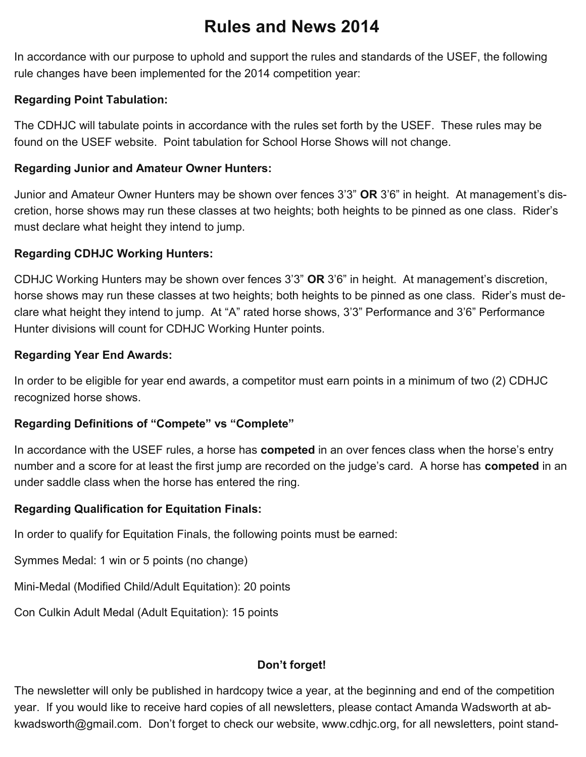## **Rules and News 2014**

In accordance with our purpose to uphold and support the rules and standards of the USEF, the following rule changes have been implemented for the 2014 competition year:

#### **Regarding Point Tabulation:**

The CDHJC will tabulate points in accordance with the rules set forth by the USEF. These rules may be found on the USEF website. Point tabulation for School Horse Shows will not change.

#### **Regarding Junior and Amateur Owner Hunters:**

Junior and Amateur Owner Hunters may be shown over fences 3'3" **OR** 3'6" in height. At management's discretion, horse shows may run these classes at two heights; both heights to be pinned as one class. Rider's must declare what height they intend to jump.

#### **Regarding CDHJC Working Hunters:**

CDHJC Working Hunters may be shown over fences 3'3" **OR** 3'6" in height. At management's discretion, horse shows may run these classes at two heights; both heights to be pinned as one class. Rider's must declare what height they intend to jump. At "A" rated horse shows, 3'3" Performance and 3'6" Performance Hunter divisions will count for CDHJC Working Hunter points.

#### **Regarding Year End Awards:**

In order to be eligible for year end awards, a competitor must earn points in a minimum of two (2) CDHJC recognized horse shows.

#### **Regarding Definitions of "Compete" vs "Complete"**

In accordance with the USEF rules, a horse has **competed** in an over fences class when the horse's entry number and a score for at least the first jump are recorded on the judge's card. A horse has **competed** in an under saddle class when the horse has entered the ring.

#### **Regarding Qualification for Equitation Finals:**

In order to qualify for Equitation Finals, the following points must be earned:

Symmes Medal: 1 win or 5 points (no change)

Mini-Medal (Modified Child/Adult Equitation): 20 points

Con Culkin Adult Medal (Adult Equitation): 15 points

### **Don't forget!**

The newsletter will only be published in hardcopy twice a year, at the beginning and end of the competition year. If you would like to receive hard copies of all newsletters, please contact Amanda Wadsworth at abkwadsworth@gmail.com. Don't forget to check our website, www.cdhjc.org, for all newsletters, point stand-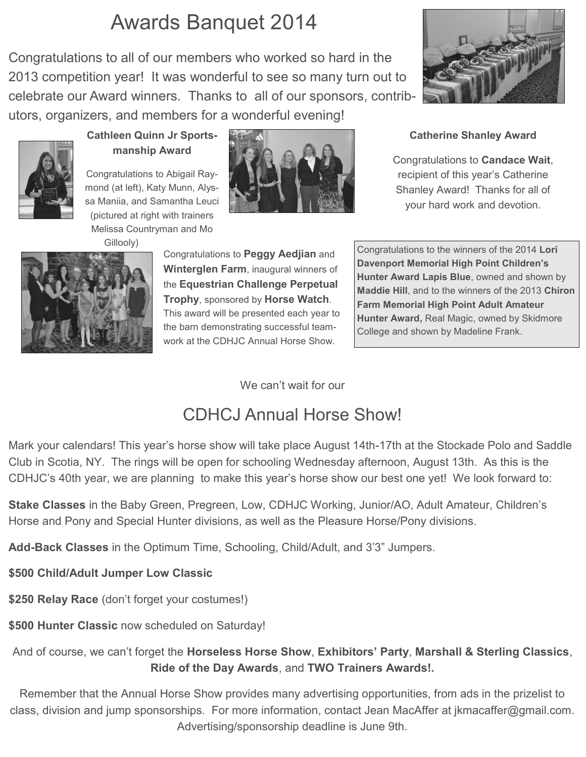## Awards Banquet 2014

Congratulations to all of our members who worked so hard in the 2013 competition year! It was wonderful to see so many turn out to celebrate our Award winners. Thanks to all of our sponsors, contributors, organizers, and members for a wonderful evening!





#### **Cathleen Quinn Jr Sportsmanship Award**

Congratulations to Abigail Raymond (at left), Katy Munn, Alyssa Maniia, and Samantha Leuci (pictured at right with trainers Melissa Countryman and Mo





Congratulations to **Peggy Aedjian** and **Winterglen Farm**, inaugural winners of the **Equestrian Challenge Perpetual Trophy**, sponsored by **Horse Watch**. This award will be presented each year to the barn demonstrating successful teamwork at the CDHJC Annual Horse Show.

#### **Catherine Shanley Award**

Congratulations to **Candace Wait**, recipient of this year's Catherine Shanley Award! Thanks for all of your hard work and devotion.

Congratulations to the winners of the 2014 **Lori Davenport Memorial High Point Children's Hunter Award Lapis Blue**, owned and shown by **Maddie Hill**, and to the winners of the 2013 **Chiron Farm Memorial High Point Adult Amateur Hunter Award,** Real Magic, owned by Skidmore College and shown by Madeline Frank.

We can't wait for our

## CDHCJ Annual Horse Show!

Mark your calendars! This year's horse show will take place August 14th-17th at the Stockade Polo and Saddle Club in Scotia, NY. The rings will be open for schooling Wednesday afternoon, August 13th. As this is the CDHJC's 40th year, we are planning to make this year's horse show our best one yet! We look forward to:

**Stake Classes** in the Baby Green, Pregreen, Low, CDHJC Working, Junior/AO, Adult Amateur, Children's Horse and Pony and Special Hunter divisions, as well as the Pleasure Horse/Pony divisions.

**Add-Back Classes** in the Optimum Time, Schooling, Child/Adult, and 3'3" Jumpers.

**\$500 Child/Adult Jumper Low Classic**

**\$250 Relay Race** (don't forget your costumes!)

**\$500 Hunter Classic** now scheduled on Saturday!

And of course, we can't forget the **Horseless Horse Show**, **Exhibitors' Party**, **Marshall & Sterling Classics**, **Ride of the Day Awards**, and **TWO Trainers Awards!.**

Remember that the Annual Horse Show provides many advertising opportunities, from ads in the prizelist to class, division and jump sponsorships. For more information, contact Jean MacAffer at jkmacaffer@gmail.com. Advertising/sponsorship deadline is June 9th.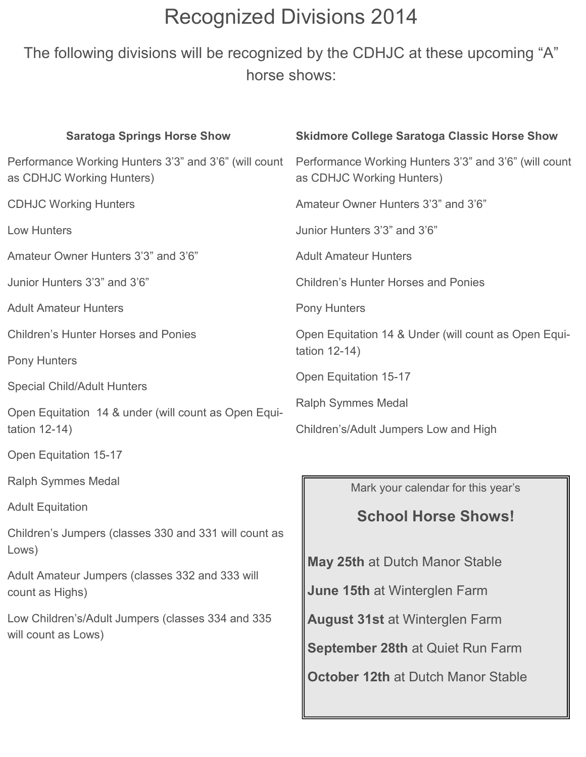# Recognized Divisions 2014

The following divisions will be recognized by the CDHJC at these upcoming "A" horse shows:

| <b>Saratoga Springs Horse Show</b>                                                 | <b>Skidmore College Saratoga Classic Horse Show</b>                                |  |
|------------------------------------------------------------------------------------|------------------------------------------------------------------------------------|--|
| Performance Working Hunters 3'3" and 3'6" (will count<br>as CDHJC Working Hunters) | Performance Working Hunters 3'3" and 3'6" (will count<br>as CDHJC Working Hunters) |  |
| <b>CDHJC Working Hunters</b>                                                       | Amateur Owner Hunters 3'3" and 3'6"                                                |  |
| <b>Low Hunters</b>                                                                 | Junior Hunters 3'3" and 3'6"                                                       |  |
| Amateur Owner Hunters 3'3" and 3'6"                                                | <b>Adult Amateur Hunters</b>                                                       |  |
| Junior Hunters 3'3" and 3'6"                                                       | <b>Children's Hunter Horses and Ponies</b>                                         |  |
| <b>Adult Amateur Hunters</b>                                                       | <b>Pony Hunters</b>                                                                |  |
| <b>Children's Hunter Horses and Ponies</b>                                         | Open Equitation 14 & Under (will count as Open Equi-<br>tation 12-14)              |  |
| Pony Hunters                                                                       |                                                                                    |  |
| <b>Special Child/Adult Hunters</b>                                                 | <b>Open Equitation 15-17</b>                                                       |  |
| Open Equitation 14 & under (will count as Open Equi-<br>tation 12-14)              | <b>Ralph Symmes Medal</b><br>Children's/Adult Jumpers Low and High                 |  |
| Open Equitation 15-17                                                              |                                                                                    |  |
| <b>Ralph Symmes Medal</b>                                                          | Mark your calendar for this year's                                                 |  |
| <b>Adult Equitation</b>                                                            | <b>School Horse Shows!</b>                                                         |  |
| Children's Jumpers (classes 330 and 331 will count as<br>Lows)                     |                                                                                    |  |
| Adult Amateur Jumpers (classes 332 and 333 will<br>count as Highs)                 | <b>May 25th at Dutch Manor Stable</b>                                              |  |
|                                                                                    | June 15th at Winterglen Farm                                                       |  |
| Low Children's/Adult Jumpers (classes 334 and 335                                  | <b>August 31st at Winterglen Farm</b>                                              |  |
| will count as Lows)                                                                | September 28th at Quiet Run Farm                                                   |  |
|                                                                                    | <b>October 12th at Dutch Manor Stable</b>                                          |  |
|                                                                                    |                                                                                    |  |

L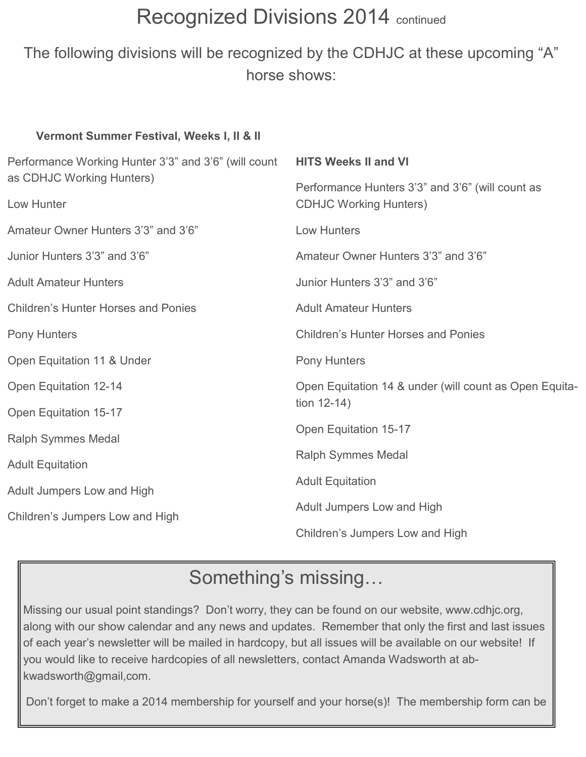# Recognized Divisions 2014 continued

The following divisions will be recognized by the CDHJC at these upcoming "A" horse shows:

| Performance Working Hunter 3'3" and 3'6" (will count<br><b>HITS Weeks II and VI</b> |  |
|-------------------------------------------------------------------------------------|--|
| Performance Hunters 3'3" and 3'6" (will count as                                    |  |
| <b>CDHJC Working Hunters)</b>                                                       |  |
| Low Hunters                                                                         |  |
| Amateur Owner Hunters 3'3" and 3'6"                                                 |  |
| Junior Hunters 3'3" and 3'6"                                                        |  |
| <b>Adult Amateur Hunters</b>                                                        |  |
| <b>Children's Hunter Horses and Ponies</b>                                          |  |
| <b>Pony Hunters</b>                                                                 |  |
| Open Equitation 14 & under (will count as Open Equita-                              |  |
| tion $12-14$ )                                                                      |  |
| Open Equitation 15-17                                                               |  |
| <b>Ralph Symmes Medal</b>                                                           |  |
| <b>Adult Equitation</b>                                                             |  |
| Adult Jumpers Low and High                                                          |  |
| Children's Jumpers Low and High                                                     |  |
|                                                                                     |  |

## Something's missing…

Missing our usual point standings? Don't worry, they can be found on our website, www.cdhjc.org, along with our show calendar and any news and updates. Remember that only the first and last issues of each year's newsletter will be mailed in hardcopy, but all issues will be available on our website! If you would like to receive hardcopies of all newsletters, contact Amanda Wadsworth at abkwadsworth@gmail,com.

Don't forget to make a 2014 membership for yourself and your horse(s)! The membership form can be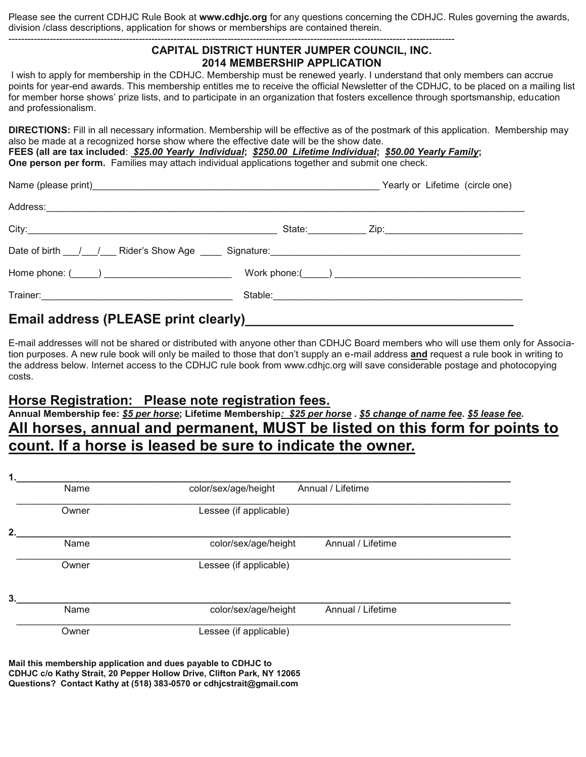Please see the current CDHJC Rule Book at **www.cdhjc.org** for any questions concerning the CDHJC. Rules governing the awards, division /class descriptions, application for shows or memberships are contained therein.

--------------------------------------------------------------------------------------------------------------------------------------------

| CAPITAL DISTRICT HUNTER JUMPER COUNCIL, INC.<br><b>2014 MEMBERSHIP APPLICATION</b>                                                                                                                                                                                                                                                                                                                                                                     |                                 |
|--------------------------------------------------------------------------------------------------------------------------------------------------------------------------------------------------------------------------------------------------------------------------------------------------------------------------------------------------------------------------------------------------------------------------------------------------------|---------------------------------|
| I wish to apply for membership in the CDHJC. Membership must be renewed yearly. I understand that only members can accrue<br>points for year-end awards. This membership entitles me to receive the official Newsletter of the CDHJC, to be placed on a mailing list<br>for member horse shows' prize lists, and to participate in an organization that fosters excellence through sportsmanship, education<br>and professionalism.                    |                                 |
| <b>DIRECTIONS:</b> Fill in all necessary information. Membership will be effective as of the postmark of this application. Membership may<br>also be made at a recognized horse show where the effective date will be the show date.<br>FEES (all are tax included: \$25.00 Yearly Individual; \$250.00 Lifetime Individual; \$50.00 Yearly Family;<br>One person per form. Families may attach individual applications together and submit one check. |                                 |
| Name (please print)                                                                                                                                                                                                                                                                                                                                                                                                                                    | Yearly or Lifetime (circle one) |

| Home phone: $(\_\_\_\_)$ | Work phone: $\qquad \qquad$ $\qquad$ $\qquad$ $\qquad$ $\qquad$ $\qquad$ $\qquad$ $\qquad$ $\qquad$ $\qquad$ $\qquad$ $\qquad$ $\qquad$ $\qquad$ $\qquad$ $\qquad$ $\qquad$ $\qquad$ $\qquad$ $\qquad$ $\qquad$ $\qquad$ $\qquad$ $\qquad$ $\qquad$ $\qquad$ $\qquad$ $\qquad$ $\qquad$ $\qquad$ $\qquad$ $\qquad$ $\qquad$ $\qquad$ $\$ |
|--------------------------|------------------------------------------------------------------------------------------------------------------------------------------------------------------------------------------------------------------------------------------------------------------------------------------------------------------------------------------|
|                          |                                                                                                                                                                                                                                                                                                                                          |
|                          |                                                                                                                                                                                                                                                                                                                                          |

Email address (PLEASE print clearly)\_

E-mail addresses will not be shared or distributed with anyone other than CDHJC Board members who will use them only for Association purposes. A new rule book will only be mailed to those that don't supply an e-mail address **and** request a rule book in writing to the address below. Internet access to the CDHJC rule book from www.cdhjc.org will save considerable postage and photocopying costs.

#### **Horse Registration: Please note registration fees.**

**Annual Membership fee:** *\$5 per horse***; Lifetime Membership***: \$25 per horse* **.** *\$5 change of name fee***.** *\$5 lease fee***. All horses, annual and permanent, MUST be listed on this form for points to count. If a horse is leased be sure to indicate the owner.**

| Name  | color/sex/age/height   |                   |                   |
|-------|------------------------|-------------------|-------------------|
| Owner | Lessee (if applicable) |                   |                   |
|       |                        |                   |                   |
| Name  | color/sex/age/height   | Annual / Lifetime |                   |
| Owner | Lessee (if applicable) |                   |                   |
|       |                        |                   |                   |
| Name  | color/sex/age/height   | Annual / Lifetime |                   |
| Owner | Lessee (if applicable) |                   |                   |
|       |                        |                   | Annual / Lifetime |

**Mail this membership application and dues payable to CDHJC to CDHJC c/o Kathy Strait, 20 Pepper Hollow Drive, Clifton Park, NY 12065 Questions? Contact Kathy at (518) 383-0570 or cdhjcstrait@gmail.com**